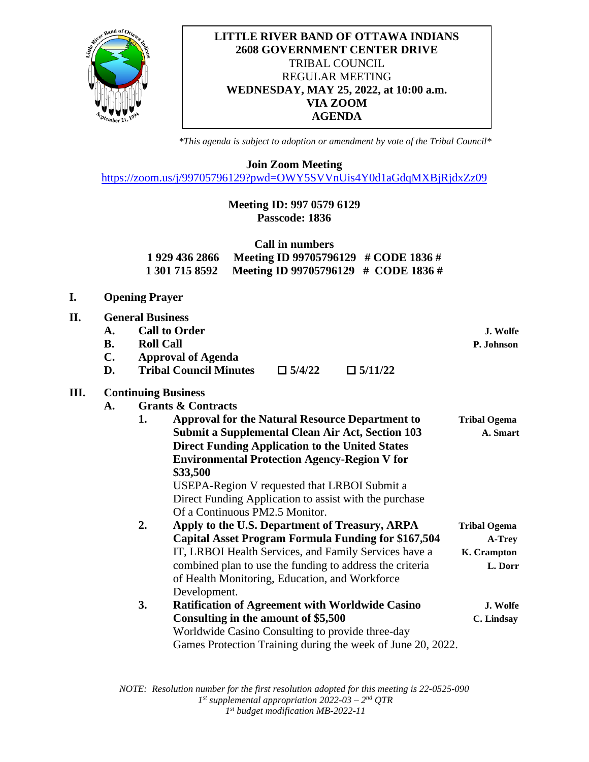

## **LITTLE RIVER BAND OF OTTAWA INDIANS 2608 GOVERNMENT CENTER DRIVE** TRIBAL COUNCIL REGULAR MEETING **WEDNESDAY, MAY 25, 2022, at 10:00 a.m. VIA ZOOM AGENDA**

*\*This agenda is subject to adoption or amendment by vote of the Tribal Council\**

**Join Zoom Meeting**

<https://zoom.us/j/99705796129?pwd=OWY5SVVnUis4Y0d1aGdqMXBjRjdxZz09>

# **Meeting ID: 997 0579 6129 Passcode: 1836**

| Call in numbers |                                                     |  |  |  |  |  |
|-----------------|-----------------------------------------------------|--|--|--|--|--|
|                 | 1 929 436 2866 Meeting ID 99705796129 # CODE 1836 # |  |  |  |  |  |
|                 | 1 301 715 8592 Meeting ID 99705796129 # CODE 1836 # |  |  |  |  |  |

- **I. Opening Prayer**
- **II. General Business A. Call to Order J. Wolfe B. Roll Call P. Johnson C. Approval of Agenda D. Tribal Council Minutes**  $\Box$  5/4/22  $\Box$  5/11/22

#### **III. Continuing Business**

- **A. Grants & Contracts**
	- **1. Approval for the Natural Resource Department to Tribal Ogema Submit a Supplemental Clean Air Act, Section 103** A. Smart **Direct Funding Application to the United States Environmental Protection Agency-Region V for \$33,500** USEPA-Region V requested that LRBOI Submit a Direct Funding Application to assist with the purchase Of a Continuous PM2.5 Monitor. **2. Apply to the U.S. Department of Treasury, ARPA Tribal Ogema Capital Asset Program Formula Funding for \$167,504 A-Trey** IT, LRBOI Health Services, and Family Services have a **K. Crampton** combined plan to use the funding to address the criteria **L. Dorr** of Health Monitoring, Education, and Workforce Development. **3. Ratification of Agreement with Worldwide Casino J. Wolfe**
		- **Consulting in the amount of \$5,500 C. Lindsay** Worldwide Casino Consulting to provide three-day Games Protection Training during the week of June 20, 2022.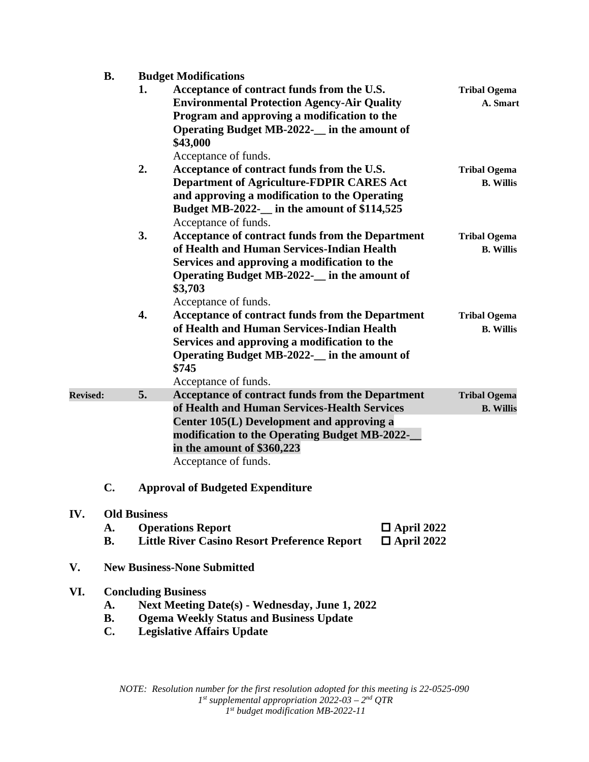# **B. Budget Modifications**

IV.

**VI.** 

|                 |                                                                                                                                                                                              | 1.                                 | Acceptance of contract funds from the U.S.<br><b>Environmental Protection Agency-Air Quality</b><br>Program and approving a modification to the<br>Operating Budget MB-2022- in the amount of<br>\$43,000                                                   | <b>Tribal Ogema</b><br>A. Smart         |  |  |
|-----------------|----------------------------------------------------------------------------------------------------------------------------------------------------------------------------------------------|------------------------------------|-------------------------------------------------------------------------------------------------------------------------------------------------------------------------------------------------------------------------------------------------------------|-----------------------------------------|--|--|
|                 |                                                                                                                                                                                              | 2.                                 | Acceptance of funds.<br>Acceptance of contract funds from the U.S.<br><b>Department of Agriculture-FDPIR CARES Act</b><br>and approving a modification to the Operating<br>Budget MB-2022-__ in the amount of \$114,525<br>Acceptance of funds.             | <b>Tribal Ogema</b><br><b>B.</b> Willis |  |  |
|                 |                                                                                                                                                                                              | 3.                                 | <b>Acceptance of contract funds from the Department</b><br>of Health and Human Services-Indian Health<br>Services and approving a modification to the<br>Operating Budget MB-2022- in the amount of<br>\$3,703<br>Acceptance of funds.                      | <b>Tribal Ogema</b><br><b>B.</b> Willis |  |  |
|                 |                                                                                                                                                                                              | 4.                                 | <b>Acceptance of contract funds from the Department</b><br>of Health and Human Services-Indian Health<br>Services and approving a modification to the<br>Operating Budget MB-2022- in the amount of<br>\$745<br>Acceptance of funds.                        | <b>Tribal Ogema</b><br><b>B.</b> Willis |  |  |
| <b>Revised:</b> |                                                                                                                                                                                              | 5.                                 | <b>Acceptance of contract funds from the Department</b><br>of Health and Human Services-Health Services<br>Center 105(L) Development and approving a<br>modification to the Operating Budget MB-2022-<br>in the amount of \$360,223<br>Acceptance of funds. | <b>Tribal Ogema</b><br><b>B.</b> Willis |  |  |
|                 | C.                                                                                                                                                                                           |                                    | <b>Approval of Budgeted Expenditure</b>                                                                                                                                                                                                                     |                                         |  |  |
| IV.             | A.<br><b>B.</b>                                                                                                                                                                              | <b>Old Business</b>                | <b>Operations Report</b><br>$\Box$ April 2022<br><b>Little River Casino Resort Preference Report</b><br>$\Box$ April 2022                                                                                                                                   |                                         |  |  |
| V.              |                                                                                                                                                                                              | <b>New Business-None Submitted</b> |                                                                                                                                                                                                                                                             |                                         |  |  |
| VI.             | <b>Concluding Business</b><br>Next Meeting Date(s) - Wednesday, June 1, 2022<br>A.<br><b>Ogema Weekly Status and Business Update</b><br><b>B.</b><br>C.<br><b>Legislative Affairs Update</b> |                                    |                                                                                                                                                                                                                                                             |                                         |  |  |

*NOTE: Resolution number for the first resolution adopted for this meeting is 22-0525-090 1st supplemental appropriation 2022-03 – 2nd QTR 1st budget modification MB-2022-11*